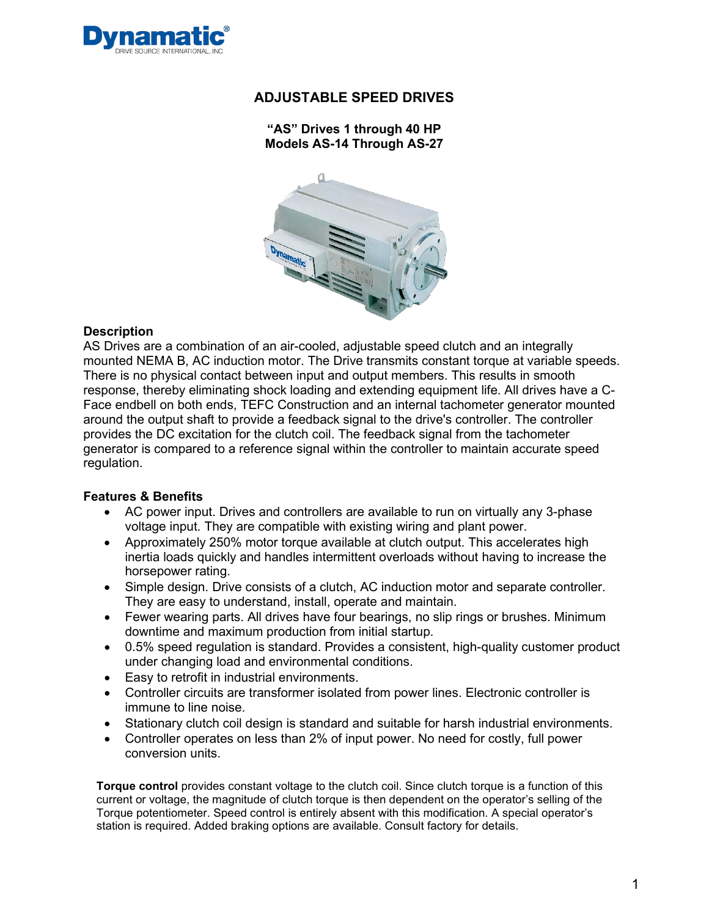

### **"AS" Drives 1 through 40 HP Models AS-14 Through AS-27**



#### **Description**

AS Drives are a combination of an air-cooled, adjustable speed clutch and an integrally mounted NEMA B, AC induction motor. The Drive transmits constant torque at variable speeds. There is no physical contact between input and output members. This results in smooth response, thereby eliminating shock loading and extending equipment life. All drives have a C-Face endbell on both ends, TEFC Construction and an internal tachometer generator mounted around the output shaft to provide a feedback signal to the drive's controller. The controller provides the DC excitation for the clutch coil. The feedback signal from the tachometer generator is compared to a reference signal within the controller to maintain accurate speed regulation.

### **Features & Benefits**

- AC power input. Drives and controllers are available to run on virtually any 3-phase voltage input. They are compatible with existing wiring and plant power.
- Approximately 250% motor torque available at clutch output. This accelerates high inertia loads quickly and handles intermittent overloads without having to increase the horsepower rating.
- Simple design. Drive consists of a clutch, AC induction motor and separate controller. They are easy to understand, install, operate and maintain.
- Fewer wearing parts. All drives have four bearings, no slip rings or brushes. Minimum downtime and maximum production from initial startup.
- 0.5% speed regulation is standard. Provides a consistent, high-quality customer product under changing load and environmental conditions.
- Easy to retrofit in industrial environments.
- Controller circuits are transformer isolated from power lines. Electronic controller is immune to line noise.
- Stationary clutch coil design is standard and suitable for harsh industrial environments.
- Controller operates on less than 2% of input power. No need for costly, full power conversion units.

**Torque control** provides constant voltage to the clutch coil. Since clutch torque is a function of this current or voltage, the magnitude of clutch torque is then dependent on the operator's selling of the Torque potentiometer. Speed control is entirely absent with this modification. A special operator's station is required. Added braking options are available. Consult factory for details.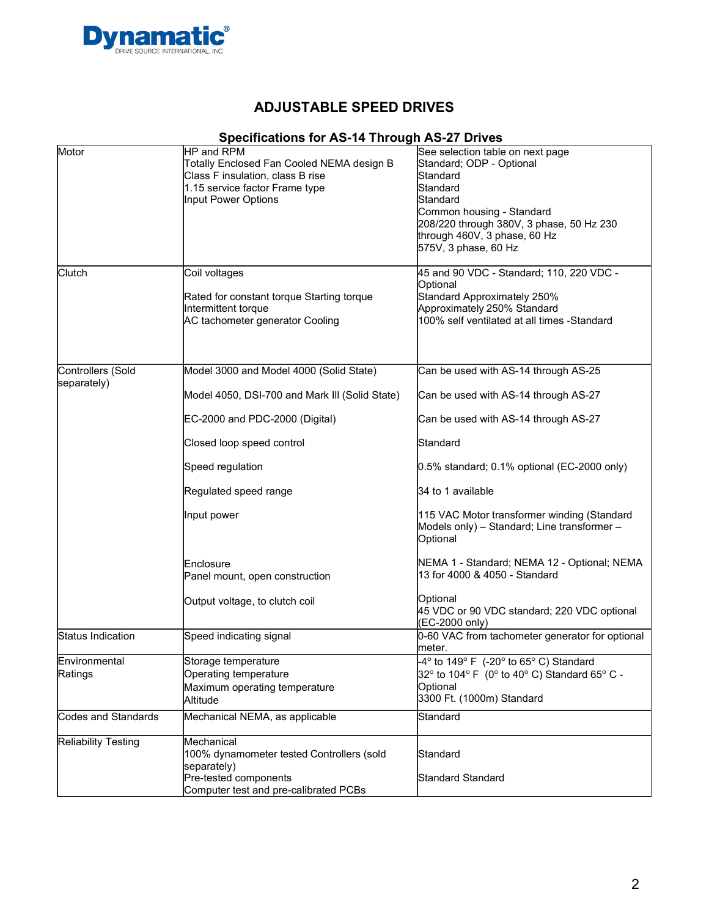

# **Specifications for AS-14 Through AS-27 Drives**

| Motor                      | HP and RPM                                     | See selection table on next page                                              |
|----------------------------|------------------------------------------------|-------------------------------------------------------------------------------|
|                            | Totally Enclosed Fan Cooled NEMA design B      | Standard; ODP - Optional                                                      |
|                            |                                                |                                                                               |
|                            | Class F insulation, class B rise               | Standard                                                                      |
|                            | 1.15 service factor Frame type                 | lStandard                                                                     |
|                            | Input Power Options                            | Standard                                                                      |
|                            |                                                | Common housing - Standard                                                     |
|                            |                                                |                                                                               |
|                            |                                                | 208/220 through 380V, 3 phase, 50 Hz 230                                      |
|                            |                                                | through 460V, 3 phase, 60 Hz                                                  |
|                            |                                                | 575V, 3 phase, 60 Hz                                                          |
|                            |                                                |                                                                               |
| Clutch                     | Coil voltages                                  | 45 and 90 VDC - Standard; 110, 220 VDC -                                      |
|                            |                                                | Optional                                                                      |
|                            |                                                |                                                                               |
|                            | Rated for constant torque Starting torque      | Standard Approximately 250%                                                   |
|                            | Intermittent torque                            | Approximately 250% Standard                                                   |
|                            | AC tachometer generator Cooling                | 100% self ventilated at all times -Standard                                   |
|                            |                                                |                                                                               |
|                            |                                                |                                                                               |
| Controllers (Sold          | Model 3000 and Model 4000 (Solid State)        | Can be used with AS-14 through AS-25                                          |
| separately)                |                                                |                                                                               |
|                            | Model 4050, DSI-700 and Mark III (Solid State) | Can be used with AS-14 through AS-27                                          |
|                            |                                                |                                                                               |
|                            | EC-2000 and PDC-2000 (Digital)                 | Can be used with AS-14 through AS-27                                          |
|                            |                                                |                                                                               |
|                            | Closed loop speed control                      | Standard                                                                      |
|                            |                                                |                                                                               |
|                            | Speed regulation                               | $0.5\%$ standard; 0.1% optional (EC-2000 only)                                |
|                            | Regulated speed range                          | 34 to 1 available                                                             |
|                            |                                                |                                                                               |
|                            | Input power                                    | 115 VAC Motor transformer winding (Standard                                   |
|                            |                                                | Models only) - Standard; Line transformer -                                   |
|                            |                                                |                                                                               |
|                            |                                                | Optional                                                                      |
|                            |                                                |                                                                               |
|                            | Enclosure                                      | NEMA 1 - Standard; NEMA 12 - Optional; NEMA                                   |
|                            | Panel mount, open construction                 | 13 for 4000 & 4050 - Standard                                                 |
|                            |                                                |                                                                               |
|                            | Output voltage, to clutch coil                 | Optional                                                                      |
|                            |                                                | 45 VDC or 90 VDC standard; 220 VDC optional                                   |
|                            |                                                | (EC-2000 only)                                                                |
| Status Indication          | Speed indicating signal                        | 0-60 VAC from tachometer generator for optional                               |
|                            |                                                |                                                                               |
|                            |                                                | meter.                                                                        |
| Environmental              | Storage temperature                            | $-4^{\circ}$ to 149 $^{\circ}$ F (-20 $^{\circ}$ to 65 $^{\circ}$ C) Standard |
| Ratings                    | Operating temperature                          | 32° to 104° F (0° to 40° C) Standard 65° C -                                  |
|                            |                                                |                                                                               |
|                            | Maximum operating temperature                  | Optional                                                                      |
|                            | Altitude                                       | 3300 Ft. (1000m) Standard                                                     |
| Codes and Standards        | Mechanical NEMA, as applicable                 | Standard                                                                      |
|                            |                                                |                                                                               |
| <b>Reliability Testing</b> | Mechanical                                     |                                                                               |
|                            |                                                |                                                                               |
|                            | 100% dynamometer tested Controllers (sold      | Standard                                                                      |
|                            | separately)                                    |                                                                               |
|                            | Pre-tested components                          | Standard Standard                                                             |
|                            | Computer test and pre-calibrated PCBs          |                                                                               |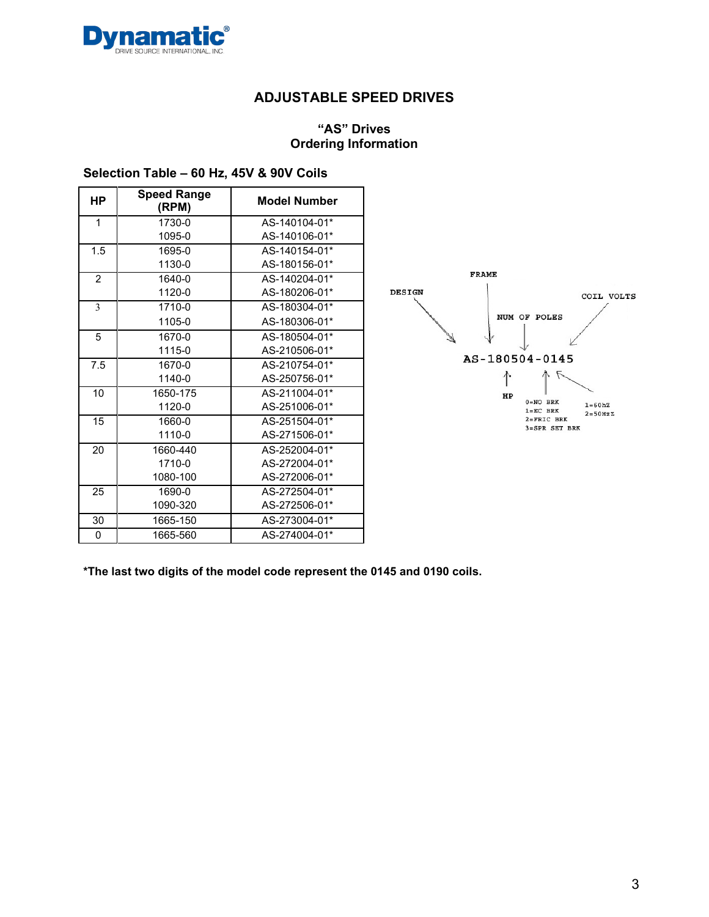

### **"AS" Drives Ordering Information**

### **Selection Table – 60 Hz, 45V & 90V Coils**

| <b>HP</b>     | <b>Speed Range</b><br>(RPM) | <b>Model Number</b> |
|---------------|-----------------------------|---------------------|
| 1             | 1730-0                      | AS-140104-01*       |
|               | 1095-0                      | AS-140106-01*       |
| 1.5           | 1695-0                      | AS-140154-01*       |
|               | 1130-0                      | AS-180156-01*       |
| $\mathcal{P}$ | 1640-0                      | AS-140204-01*       |
|               | 1120-0                      | AS-180206-01*       |
| 3             | 1710-0                      | AS-180304-01*       |
|               | 1105-0                      | AS-180306-01*       |
| 5             | 1670-0                      | AS-180504-01*       |
|               | 1115-0                      | AS-210506-01*       |
| 7.5           | 1670-0                      | AS-210754-01*       |
|               | 1140-0                      | AS-250756-01*       |
| 10            | 1650-175                    | AS-211004-01*       |
|               | 1120-0                      | AS-251006-01*       |
| 15            | 1660-0                      | AS-251504-01*       |
|               | 1110-0                      | AS-271506-01*       |
| 20            | 1660-440                    | AS-252004-01*       |
|               | 1710-0                      | AS-272004-01*       |
|               | 1080-100                    | AS-272006-01*       |
| 25            | 1690-0                      | AS-272504-01*       |
|               | 1090-320                    | AS-272506-01*       |
| 30            | 1665-150                    | AS-273004-01*       |
| 0             | 1665-560                    | AS-274004-01*       |



**\*The last two digits of the model code represent the 0145 and 0190 coils.**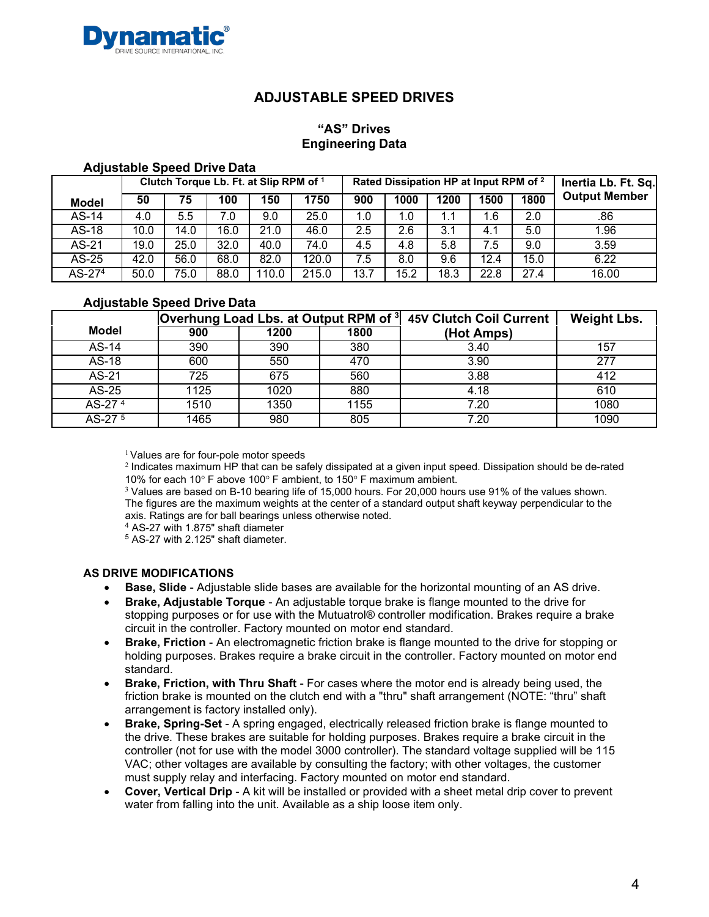

### **"AS" Drives Engineering Data**

#### **Adjustable Speed Drive Data**

|                    |      |      |      | Clutch Torque Lb. Ft. at Slip RPM of 1 |       |      | Rated Dissipation HP at Input RPM of <sup>2</sup> |      | Inertia Lb. Ft. Sq. |      |                      |
|--------------------|------|------|------|----------------------------------------|-------|------|---------------------------------------------------|------|---------------------|------|----------------------|
| <b>Model</b>       | 50   | 75   | 100  | 150                                    | 1750  | 900  | 1000                                              | 1200 | 1500                | 1800 | <b>Output Member</b> |
| $AS-14$            | 4.0  | 5.5  | 7.0  | 9.0                                    | 25.0  | 1.0  | 1.0                                               |      | 1.6                 | 2.0  | .86                  |
| $AS-18$            | 10.0 | 14.0 | 16.0 | 21.0                                   | 46.0  | 2.5  | 2.6                                               | 3.1  | 4.1                 | 5.0  | 1.96                 |
| AS-21              | 19.0 | 25.0 | 32.0 | 40.0                                   | 74.0  | 4.5  | 4.8                                               | 5.8  | 7.5                 | 9.0  | 3.59                 |
| AS-25              | 42.0 | 56.0 | 68.0 | 82.0                                   | 120.0 | 7.5  | 8.0                                               | 9.6  | 12.4                | 15.0 | 6.22                 |
| AS-27 <sup>4</sup> | 50.0 | 75.0 | 88.0 | 110.0                                  | 215.0 | 13.7 | 15.2                                              | 18.3 | 22.8                | 27.4 | 16.00                |

#### **Adjustable Speed Drive Data**

|                    | Overhung Load Lbs. at Output RPM of <sup>3</sup> |      |      | <b>45V Clutch Coil Current</b> | <b>Weight Lbs.</b> |
|--------------------|--------------------------------------------------|------|------|--------------------------------|--------------------|
| <b>Model</b>       | 900                                              | 1200 | 1800 | (Hot Amps)                     |                    |
| AS-14              | 390                                              | 390  | 380  | 3.40                           | 157                |
| $AS-18$            | 600                                              | 550  | 470  | 3.90                           | 277                |
| AS-21              | 725                                              | 675  | 560  | 3.88                           | 412                |
| AS-25              | 1125                                             | 1020 | 880  | 4.18                           | 610                |
| AS-27 <sup>4</sup> | 1510                                             | 1350 | 1155 | 7.20                           | 1080               |
| AS-27 <sup>5</sup> | 1465                                             | 980  | 805  | 7.20                           | 1090               |

<sup>1</sup> Values are for four-pole motor speeds

<sup>2</sup> Indicates maximum HP that can be safely dissipated at a given input speed. Dissipation should be de-rated 10% for each 10° F above 100° F ambient, to 150° F maximum ambient.

<sup>3</sup> Values are based on B-10 bearing life of 15,000 hours. For 20,000 hours use 91% of the values shown. The figures are the maximum weights at the center of a standard output shaft keyway perpendicular to the axis. Ratings are for ball bearings unless otherwise noted.

<sup>4</sup> AS-27 with 1.875" shaft diameter

<sup>5</sup> AS-27 with 2.125" shaft diameter.

#### **AS DRIVE MODIFICATIONS**

- **Base, Slide** Adjustable slide bases are available for the horizontal mounting of an AS drive.
- **Brake, Adjustable Torque** An adjustable torque brake is flange mounted to the drive for stopping purposes or for use with the Mutuatrol® controller modification. Brakes require a brake circuit in the controller. Factory mounted on motor end standard.
- **Brake, Friction** An electromagnetic friction brake is flange mounted to the drive for stopping or holding purposes. Brakes require a brake circuit in the controller. Factory mounted on motor end standard.
- **Brake, Friction, with Thru Shaft** For cases where the motor end is already being used, the friction brake is mounted on the clutch end with a "thru" shaft arrangement (NOTE: "thru" shaft arrangement is factory installed only).
- **Brake, Spring-Set** A spring engaged, electrically released friction brake is flange mounted to the drive. These brakes are suitable for holding purposes. Brakes require a brake circuit in the controller (not for use with the model 3000 controller). The standard voltage supplied will be 115 VAC; other voltages are available by consulting the factory; with other voltages, the customer must supply relay and interfacing. Factory mounted on motor end standard.
- **Cover, Vertical Drip** A kit will be installed or provided with a sheet metal drip cover to prevent water from falling into the unit. Available as a ship loose item only.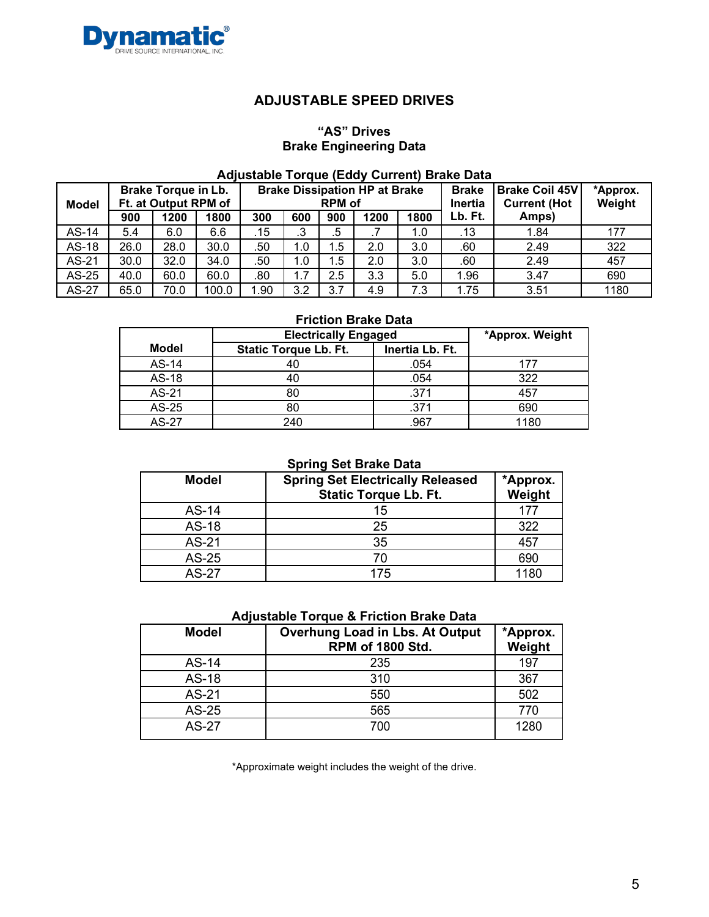

### **"AS" Drives Brake Engineering Data**

### **Adjustable Torque (Eddy Current) Brake Data**

| <b>Model</b> |      | <b>Brake Torque in Lb.</b><br>Ft. at Output RPM of |       |      |         | <b>RPM</b> of | <b>Brake Dissipation HP at Brake</b> |      | <b>Brake</b><br>Inertia | <b>Brake Coil 45V</b><br><b>Current (Hot</b> | *Approx.<br>Weight |
|--------------|------|----------------------------------------------------|-------|------|---------|---------------|--------------------------------------|------|-------------------------|----------------------------------------------|--------------------|
|              | 900  | 1200                                               | 1800  | 300  | 600     | 900           | 1200                                 | 1800 | Lb. Ft.                 | Amps)                                        |                    |
| AS-14        | 5.4  | 6.0                                                | 6.6   | .15  | ≏<br>د. | .5            |                                      | 1.0  | .13                     | 1.84                                         | 177                |
| AS-18        | 26.0 | 28.0                                               | 30.0  | .50  | 1.0     | 1.5           | 2.0                                  | 3.0  | .60                     | 2.49                                         | 322                |
| AS-21        | 30.0 | 32.0                                               | 34.0  | .50  | 1.0     | 1.5           | 2.0                                  | 3.0  | .60                     | 2.49                                         | 457                |
| AS-25        | 40.0 | 60.0                                               | 60.0  | .80  | 1.7     | 2.5           | 3.3                                  | 5.0  | 1.96                    | 3.47                                         | 690                |
| AS-27        | 65.0 | 70.0                                               | 100.0 | 1.90 | 3.2     | 3.7           | 4.9                                  | 7.3  | 1.75                    | 3.51                                         | 1180               |

# **Friction Brake Data**

|              | <b>Electrically Engaged</b>  |                 | *Approx. Weight |
|--------------|------------------------------|-----------------|-----------------|
| Model        | <b>Static Torque Lb. Ft.</b> | Inertia Lb. Ft. |                 |
| AS-14        |                              | .054            | 177             |
| AS-18        |                              | .054            | 322             |
| AS-21        | 80                           | .371            | 457             |
| AS-25        | 80                           | .371            | 690             |
| <b>AS-27</b> | 240                          | .967            | 1180            |

#### **Spring Set Brake Data**

| Model        | <b>Spring Set Electrically Released</b><br><b>Static Torque Lb. Ft.</b> | *Approx.<br>Weight |
|--------------|-------------------------------------------------------------------------|--------------------|
| AS-14        | 15                                                                      | 177                |
| AS-18        | 25                                                                      | 322                |
| AS-21        | 35                                                                      | 457                |
| AS-25        | 70                                                                      | 690                |
| <b>AS-27</b> | 175                                                                     | 1180               |

#### **Adjustable Torque & Friction Brake Data**

| <b>Model</b> | <b>Overhung Load in Lbs. At Output</b><br><b>RPM of 1800 Std.</b> | *Approx.<br>Weight |
|--------------|-------------------------------------------------------------------|--------------------|
| AS-14        | 235                                                               | 197                |
| AS-18        | 310                                                               | 367                |
| AS-21        | 550                                                               | 502                |
| AS-25        | 565                                                               | 770                |
| <b>AS-27</b> | 700                                                               | 1280               |

\*Approximate weight includes the weight of the drive.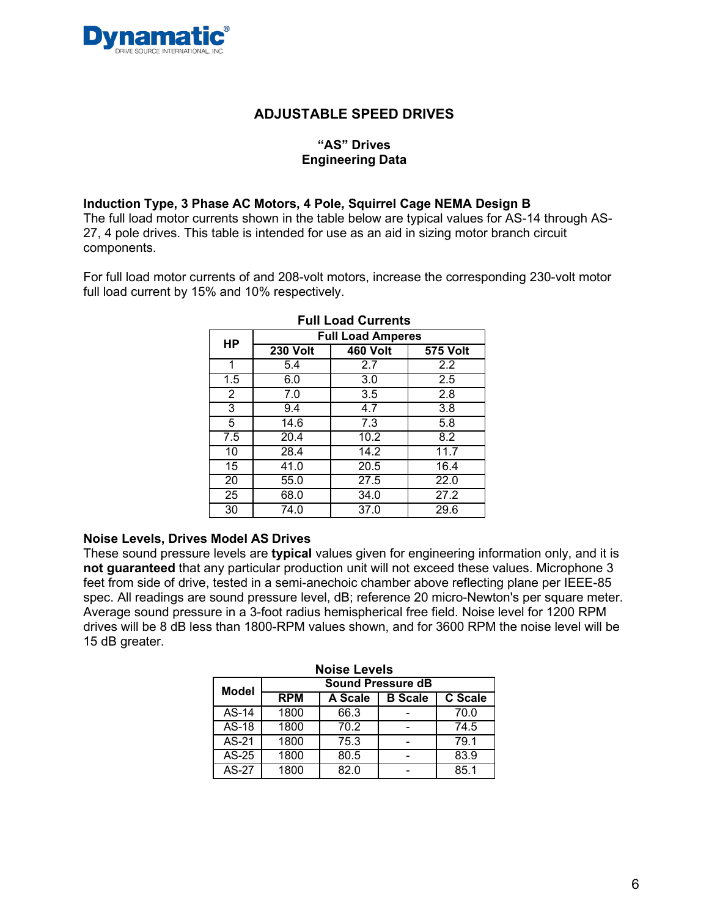

### **"AS" Drives Engineering Data**

#### **Induction Type, 3 Phase AC Motors, 4 Pole, Squirrel Cage NEMA Design B**

The full load motor currents shown in the table below are typical values for AS-14 through AS-27, 4 pole drives. This table is intended for use as an aid in sizing motor branch circuit components.

For full load motor currents of and 208-volt motors, increase the corresponding 230-volt motor full load current by 15% and 10% respectively.

|                  | <b>Full Load Amperes</b> |                   |                 |  |  |  |  |  |  |
|------------------|--------------------------|-------------------|-----------------|--|--|--|--|--|--|
| HP               | <b>230 Volt</b>          | <b>460 Volt</b>   | <b>575 Volt</b> |  |  |  |  |  |  |
| 1                | 5.4                      | 2.7               | 2.2             |  |  |  |  |  |  |
| 1.5              | 6.0                      | 3.0               | 2.5             |  |  |  |  |  |  |
| $\overline{2}$   | 7.0                      | 3.5               | 2.8             |  |  |  |  |  |  |
| 3                | 9.4                      | 4.7               | 3.8             |  |  |  |  |  |  |
| 5                | 14.6                     | $\overline{7}$ .3 | 5.8             |  |  |  |  |  |  |
| $\overline{7.5}$ | 20.4                     | 10.2              | 8.2             |  |  |  |  |  |  |
| 10               | 28.4                     | 14.2              | 11.7            |  |  |  |  |  |  |
| $\overline{15}$  | 41.0                     | 20.5              | 16.4            |  |  |  |  |  |  |
| 20               | 55.0                     | 27.5              | 22.0            |  |  |  |  |  |  |
| $\overline{25}$  | 68.0                     | 34.0              | 27.2            |  |  |  |  |  |  |
| 30               | 74.0                     | 37.0              | 29.6            |  |  |  |  |  |  |

### **Full Load Currents**

#### **Noise Levels, Drives Model AS Drives**

These sound pressure levels are **typical** values given for engineering information only, and it is **not guaranteed** that any particular production unit will not exceed these values. Microphone 3 feet from side of drive, tested in a semi-anechoic chamber above reflecting plane per IEEE-85 spec. All readings are sound pressure level, dB; reference 20 micro-Newton's per square meter. Average sound pressure in a 3-foot radius hemispherical free field. Noise level for 1200 RPM drives will be 8 dB less than 1800-RPM values shown, and for 3600 RPM the noise level will be 15 dB greater.

|              | <b>Noise Levels</b> |                          |                |         |  |  |  |  |  |  |  |
|--------------|---------------------|--------------------------|----------------|---------|--|--|--|--|--|--|--|
| <b>Model</b> |                     | <b>Sound Pressure dB</b> |                |         |  |  |  |  |  |  |  |
|              | <b>RPM</b>          | A Scale                  | <b>B</b> Scale | C Scale |  |  |  |  |  |  |  |
| $AS-14$      | 1800                | 66.3                     |                | 70.0    |  |  |  |  |  |  |  |
| AS-18        | 1800                | 70.2                     |                | 74.5    |  |  |  |  |  |  |  |
| AS-21        | 1800                | 75.3                     |                | 79.1    |  |  |  |  |  |  |  |
| AS-25        | 1800                | 80.5                     |                | 83.9    |  |  |  |  |  |  |  |
| AS-27        | 1800                | 82.0                     |                | 851     |  |  |  |  |  |  |  |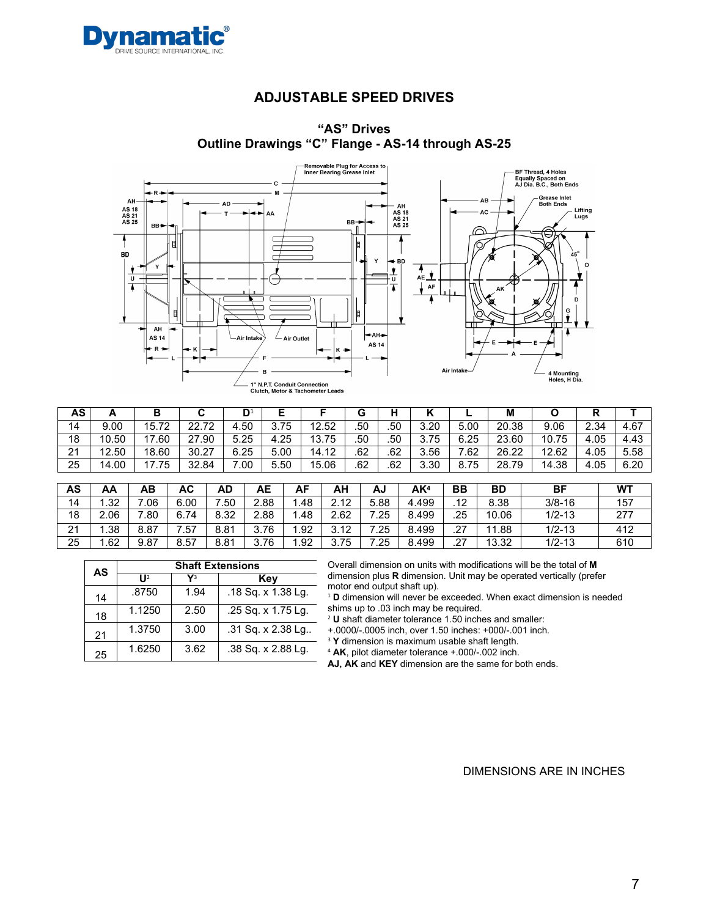



### **"AS" Drives Outline Drawings "C" Flange - AS-14 through AS-25**

| AS                | <u>r</u> |           |       | D    |      |       | G   | н   |      | ►    | М     |       |      |      |
|-------------------|----------|-----------|-------|------|------|-------|-----|-----|------|------|-------|-------|------|------|
| 14                | 9.00     | 15.72     | 22.72 | 4.50 | 3.75 | 12.52 | .50 | .50 | 3.20 | 5.00 | 20.38 | 9.06  | 2.34 | 4.67 |
| 18                | 10.50    | .60<br>47 | 27.90 | 5.25 | 4.25 | 13.75 | .50 | .50 | 3.75 | 6.25 | 23.60 | 10.75 | 4.05 | 4.43 |
| $\mathbf{A}$<br>▵ | 12.50    | 18.60     | 30.27 | 6.25 | 5.00 | 14.12 | .62 | .62 | 3.56 | .62  | 26.22 | 12.62 | 4.05 | 5.58 |
| 25                | 14.00    | '.75      | 32.84 | 0.00 | 5.50 | 15.06 | .62 | .62 | 3.30 | 8.75 | 28.79 | 14.38 | 4.05 | 6.20 |

| AS | AA   | ΑВ   | AC   | AD             | AЕ   | AF   | АН           | AJ   | AK <sup>4</sup> | BB               | BD        | ΒF         | <b>WT</b> |
|----|------|------|------|----------------|------|------|--------------|------|-----------------|------------------|-----------|------------|-----------|
| 14 | l.32 | .06  | 6.00 | $^{\prime}.50$ | 2.88 | . 48 | 2.12         | 5.88 | 4.499           | $1^{\circ}$<br>. | 8.38      | $3/8 - 16$ | 157       |
| 18 | 2.06 | .80  | 6.74 | 8.32           | 2.88 | .48  | 2.62         | .25  | 8.499           | .25              | 10.06     | $1/2 - 13$ | 277       |
| 21 | .38  | 8.87 | .57  | 8.81           | 3.76 | .92  | 3.12<br>J.IZ | .25  | 8.499           | .27              | .88<br>44 | $1/2 - 13$ | 412       |
| 25 | .62  | 9.87 | 8.57 | 8.81           | 3.76 | .92  | 3.75         | .25  | 8.499           | .27              | 13.32     | $1/2 - 13$ | 610       |

| AS | <b>Shaft Extensions</b> |      |                    |  |  |  |  |  |  |  |  |
|----|-------------------------|------|--------------------|--|--|--|--|--|--|--|--|
|    | $\prod_{i=1}^{n}$       | Vз   | Kev                |  |  |  |  |  |  |  |  |
| 14 | .8750                   | 1.94 | .18 Sq. x 1.38 Lg. |  |  |  |  |  |  |  |  |
| 18 | 1.1250                  | 2.50 | .25 Sq. x 1.75 Lg. |  |  |  |  |  |  |  |  |
| 21 | 1.3750                  | 3.00 | .31 Sq. x 2.38 Lg  |  |  |  |  |  |  |  |  |
| 25 | 1.6250                  | 3.62 | .38 Sq. x 2.88 Lg. |  |  |  |  |  |  |  |  |

Overall dimension on units with modifications will be the total of **M**  dimension plus **R** dimension. Unit may be operated vertically (prefer motor end output shaft up).

<sup>1</sup> **D** dimension will never be exceeded. When exact dimension is needed shims up to .03 inch may be required.

<sup>2</sup> **U** shaft diameter tolerance 1.50 inches and smaller:

+.0000/-.0005 inch, over 1.50 inches: +000/-.001 inch.

<sup>3</sup> **Y** dimension is maximum usable shaft length.

<sup>4</sup> **AK**, pilot diameter tolerance +.000/-.002 inch.

**AJ, AK** and **KEY** dimension are the same for both ends.

DIMENSIONS ARE IN INCHES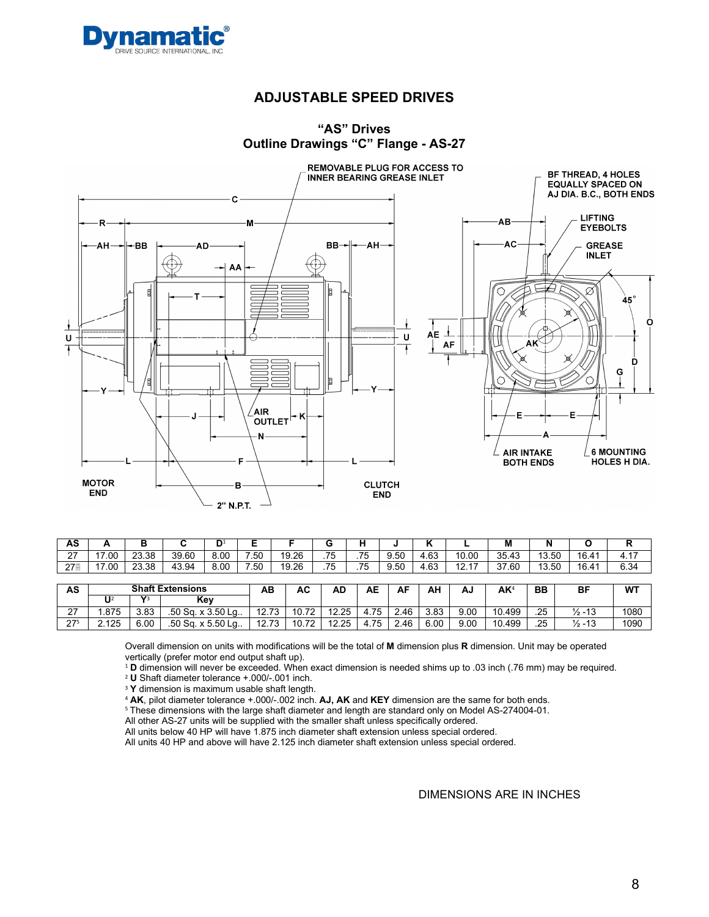



#### **"AS" Drives Outline Drawings "C" Flange - AS-27**

| AS                 |                | Р     |       | $\mathsf{D}^1$ |                 |       | ∽   | . . |      |           |                                   | М     | N     |       | . .                    |
|--------------------|----------------|-------|-------|----------------|-----------------|-------|-----|-----|------|-----------|-----------------------------------|-------|-------|-------|------------------------|
| $\sim$<br><u>.</u> | $\sim$<br>7.UU | 23.38 | 39.60 | 8.00           | $^{\prime}$ .50 | 19.26 | .75 | .75 | 9.50 | 4.63      | 10.00                             | 35.43 | 13.50 | 16.41 | 47<br>4.1 <sub>1</sub> |
| $27^{\circ}$       | 7.00           | 23.38 | 43.94 | 8.00           | $^{\prime}.50$  | 19.26 | .75 | .75 | 9.50 | 63<br>ں س | $\overline{a}$<br>$\overline{10}$ | 37.60 | 13.50 | 16.41 | 6.34                   |

| AS                | <b>Shaft Extensions</b> |              |                        | ΑВ    | АC    | AD    | AЕ   | AF   | АН   | AJ   | ΑK     | <b>BB</b> | BF                | WT   |
|-------------------|-------------------------|--------------|------------------------|-------|-------|-------|------|------|------|------|--------|-----------|-------------------|------|
|                   | U                       | $\mathbf{v}$ | Kev                    |       |       |       |      |      |      |      |        |           |                   |      |
| $\sim$<br>21      | .875                    | 3.83         | $.50$ Sq. x $3.50$ Lq. | 12.73 | 10.72 | 12.25 | 75ء  | 2.46 | 3.83 | 9.00 | 10.499 | .25       | $\frac{1}{2}$ -13 | 1080 |
| 275<br><u>. i</u> | 2.125                   | 6.00         | $.50$ Sq. x 5.50 Lq.   | 12.73 | 10.72 | 12.25 | 4.75 | 2.46 | 6.00 | 9.00 | 10.499 | .25       | $\frac{1}{2}$ -13 | 1090 |

Overall dimension on units with modifications will be the total of **M** dimension plus **R** dimension. Unit may be operated vertically (prefer motor end output shaft up).

<sup>1</sup> **D** dimension will never be exceeded. When exact dimension is needed shims up to .03 inch (.76 mm) may be required.

<sup>2</sup> **U** Shaft diameter tolerance +.000/-.001 inch.

<sup>3</sup> **Y** dimension is maximum usable shaft length.

<sup>4</sup> **AK**, pilot diameter tolerance +.000/-.002 inch. **AJ, AK** and **KEY** dimension are the same for both ends.

<sup>5</sup> These dimensions with the large shaft diameter and length are standard only on Model AS-274004-01.

All other AS-27 units will be supplied with the smaller shaft unless specifically ordered.

All units below 40 HP will have 1.875 inch diameter shaft extension unless special ordered.

All units 40 HP and above will have 2.125 inch diameter shaft extension unless special ordered.

DIMENSIONS ARE IN INCHES